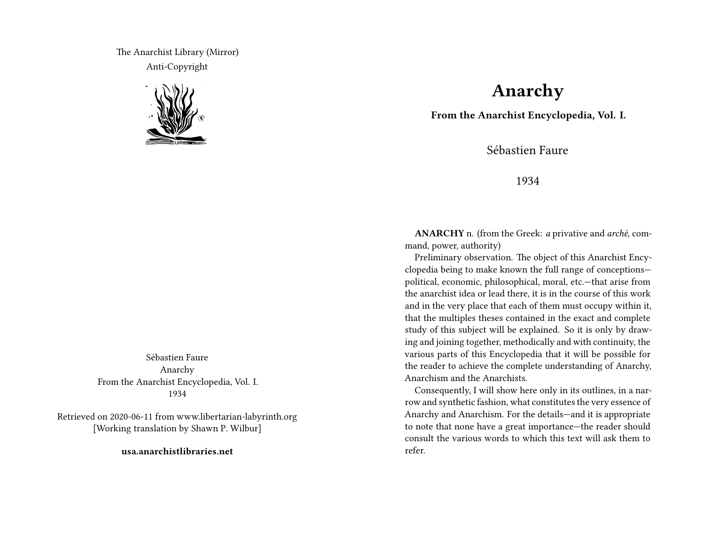The Anarchist Library (Mirror) Anti-Copyright



Sébastien Faure Anarchy From the Anarchist Encyclopedia, Vol. I. 1934

Retrieved on 2020-06-11 from www.libertarian-labyrinth.org [Working translation by Shawn P. Wilbur]

**usa.anarchistlibraries.net**

## **Anarchy**

**From the Anarchist Encyclopedia, Vol. I.**

Sébastien Faure

1934

**ANARCHY** n. (from the Greek: *a* privative and *archè*, command, power, authority)

Preliminary observation. The object of this Anarchist Encyclopedia being to make known the full range of conceptions political, economic, philosophical, moral, etc.—that arise from the anarchist idea or lead there, it is in the course of this work and in the very place that each of them must occupy within it, that the multiples theses contained in the exact and complete study of this subject will be explained. So it is only by drawing and joining together, methodically and with continuity, the various parts of this Encyclopedia that it will be possible for the reader to achieve the complete understanding of Anarchy, Anarchism and the Anarchists.

Consequently, I will show here only in its outlines, in a narrow and synthetic fashion, what constitutes the very essence of Anarchy and Anarchism. For the details—and it is appropriate to note that none have a great importance—the reader should consult the various words to which this text will ask them to refer.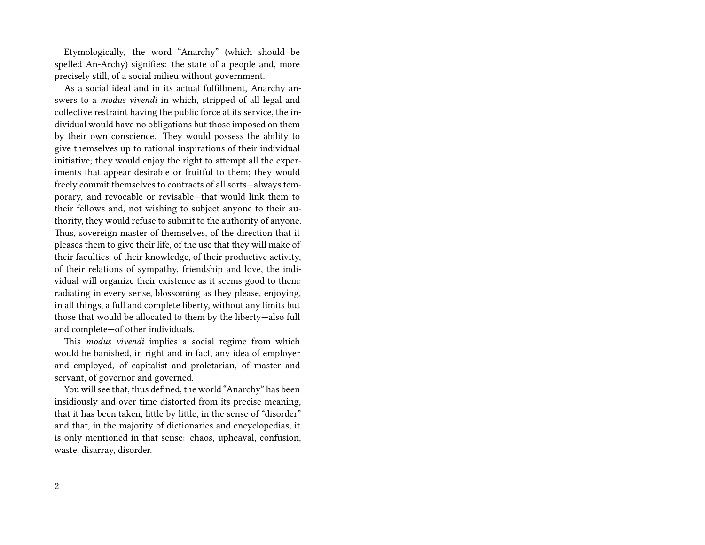Etymologically, the word "Anarchy" (which should be spelled An-Archy) signifies: the state of a people and, more precisely still, of a social milieu without government.

As a social ideal and in its actual fulfillment, Anarchy answers to a *modus vivendi* in which, stripped of all legal and collective restraint having the public force at its service, the individual would have no obligations but those imposed on them by their own conscience. They would possess the ability to give themselves up to rational inspirations of their individual initiative; they would enjoy the right to attempt all the experiments that appear desirable or fruitful to them; they would freely commit themselves to contracts of all sorts—always temporary, and revocable or revisable—that would link them to their fellows and, not wishing to subject anyone to their authority, they would refuse to submit to the authority of anyone. Thus, sovereign master of themselves, of the direction that it pleases them to give their life, of the use that they will make of their faculties, of their knowledge, of their productive activity, of their relations of sympathy, friendship and love, the individual will organize their existence as it seems good to them: radiating in every sense, blossoming as they please, enjoying, in all things, a full and complete liberty, without any limits but those that would be allocated to them by the liberty—also full and complete—of other individuals.

This *modus vivendi* implies a social regime from which would be banished, in right and in fact, any idea of employer and employed, of capitalist and proletarian, of master and servant, of governor and governed.

You will see that, thus defined, the world "Anarchy" has been insidiously and over time distorted from its precise meaning, that it has been taken, little by little, in the sense of "disorder" and that, in the majority of dictionaries and encyclopedias, it is only mentioned in that sense: chaos, upheaval, confusion, waste, disarray, disorder.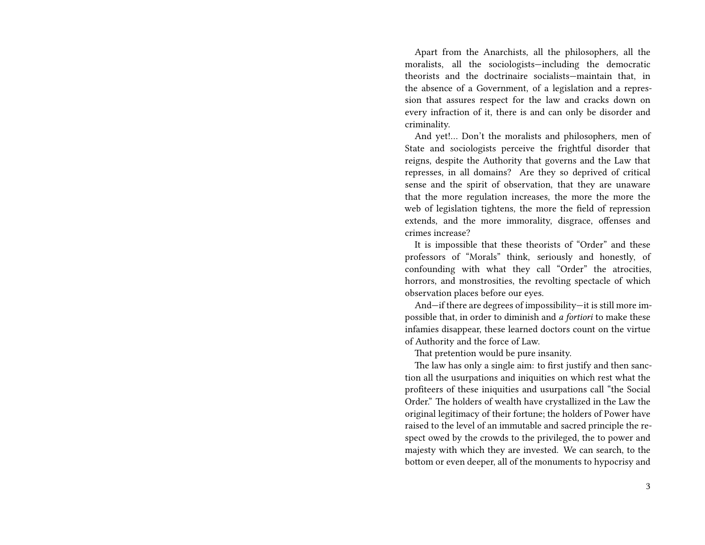Apart from the Anarchists, all the philosophers, all the moralists, all the sociologists—including the democratic theorists and the doctrinaire socialists—maintain that, in the absence of a Government, of a legislation and a repression that assures respect for the law and cracks down on every infraction of it, there is and can only be disorder and criminality.

And yet!… Don't the moralists and philosophers, men of State and sociologists perceive the frightful disorder that reigns, despite the Authority that governs and the Law that represses, in all domains? Are they so deprived of critical sense and the spirit of observation, that they are unaware that the more regulation increases, the more the more the web of legislation tightens, the more the field of repression extends, and the more immorality, disgrace, offenses and crimes increase?

It is impossible that these theorists of "Order" and these professors of "Morals" think, seriously and honestly, of confounding with what they call "Order" the atrocities, horrors, and monstrosities, the revolting spectacle of which observation places before our eyes.

And—if there are degrees of impossibility—it is still more impossible that, in order to diminish and *a fortiori* to make these infamies disappear, these learned doctors count on the virtue of Authority and the force of Law.

That pretention would be pure insanity.

The law has only a single aim: to first justify and then sanction all the usurpations and iniquities on which rest what the profiteers of these iniquities and usurpations call "the Social Order." The holders of wealth have crystallized in the Law the original legitimacy of their fortune; the holders of Power have raised to the level of an immutable and sacred principle the respect owed by the crowds to the privileged, the to power and majesty with which they are invested. We can search, to the bottom or even deeper, all of the monuments to hypocrisy and